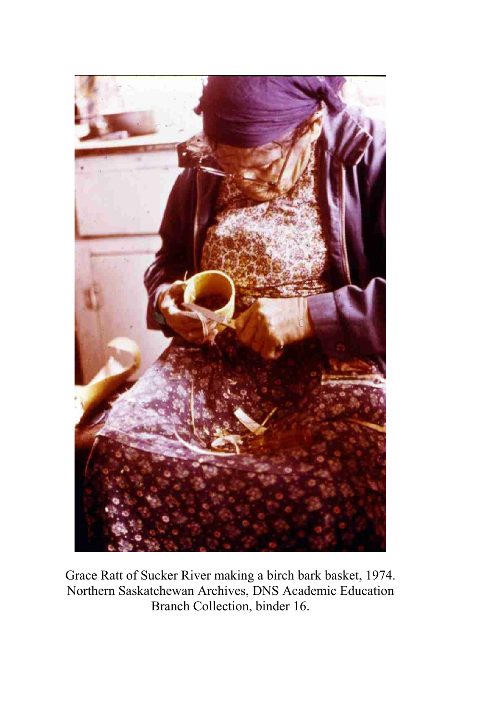

Grace Ratt of Sucker River making a birch bark basket, 1974. Northern Saskatchewan Archives, DNS Academic Education Branch Collection, binder 16.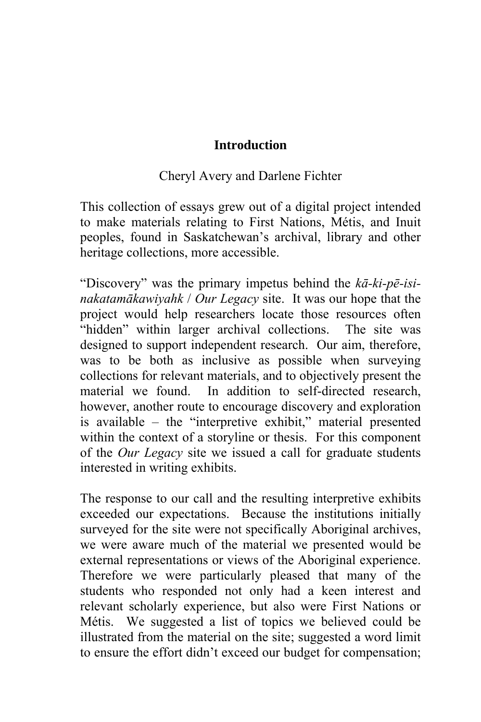## **Introduction**

## Cheryl Avery and Darlene Fichter

This collection of essays grew out of a digital project intended to make materials relating to First Nations, Métis, and Inuit peoples, found in Saskatchewan's archival, library and other heritage collections, more accessible.

"Discovery" was the primary impetus behind the *kā-ki-pē-isinakatamākawiyahk* / *Our Legacy* site. It was our hope that the project would help researchers locate those resources often "hidden" within larger archival collections. The site was designed to support independent research. Our aim, therefore, was to be both as inclusive as possible when surveying collections for relevant materials, and to objectively present the material we found. In addition to self-directed research, however, another route to encourage discovery and exploration is available – the "interpretive exhibit," material presented within the context of a storyline or thesis. For this component of the *Our Legacy* site we issued a call for graduate students interested in writing exhibits.

The response to our call and the resulting interpretive exhibits exceeded our expectations. Because the institutions initially surveyed for the site were not specifically Aboriginal archives, we were aware much of the material we presented would be external representations or views of the Aboriginal experience. Therefore we were particularly pleased that many of the students who responded not only had a keen interest and relevant scholarly experience, but also were First Nations or Métis. We suggested a list of topics we believed could be illustrated from the material on the site; suggested a word limit to ensure the effort didn't exceed our budget for compensation;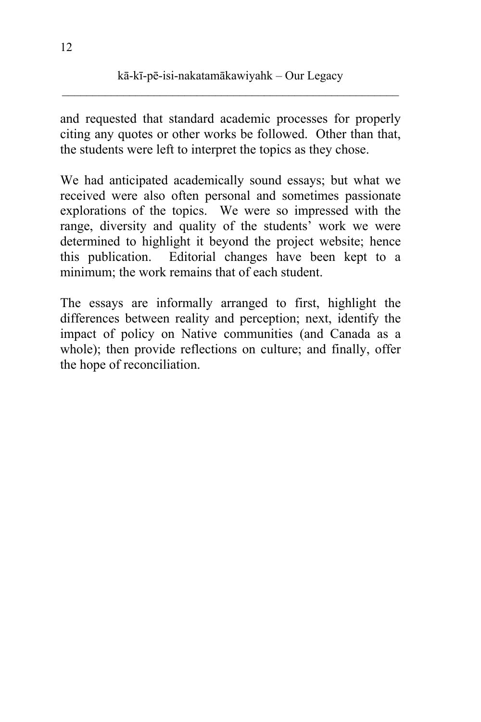and requested that standard academic processes for properly citing any quotes or other works be followed. Other than that, the students were left to interpret the topics as they chose.

We had anticipated academically sound essays; but what we received were also often personal and sometimes passionate explorations of the topics. We were so impressed with the range, diversity and quality of the students' work we were determined to highlight it beyond the project website; hence this publication. Editorial changes have been kept to a minimum; the work remains that of each student.

The essays are informally arranged to first, highlight the differences between reality and perception; next, identify the impact of policy on Native communities (and Canada as a whole); then provide reflections on culture; and finally, offer the hope of reconciliation.